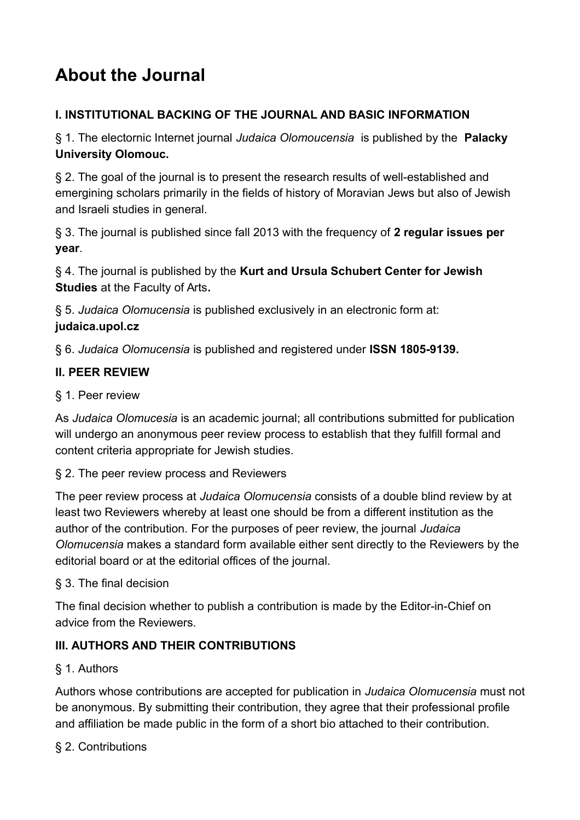# **About the Journal**

# **I. INSTITUTIONAL BACKING OF THE JOURNAL AND BASIC INFORMATION**

§ 1. The electornic Internet journal *Judaica Olomoucensia* is published by the **Palacky University Olomouc.**

§ 2. The goal of the journal is to present the research results of well-established and emergining scholars primarily in the fields of history of Moravian Jews but also of Jewish and Israeli studies in general.

§ 3. The journal is published since fall 2013 with the frequency of **2 regular issues per year**.

§ 4. The journal is published by the **Kurt and Ursula Schubert Center for Jewish Studies** at the Faculty of Arts**.**

§ 5. *Judaica Olomucensia* is published exclusively in an electronic form at: **judaica.upol.cz**

§ 6. *Judaica Olomucensia* is published and registered under **ISSN 1805-9139.**

## **II. PEER REVIEW**

## § 1. Peer review

As *Judaica Olomucesia* is an academic journal; all contributions submitted for publication will undergo an anonymous peer review process to establish that they fulfill formal and content criteria appropriate for Jewish studies.

#### § 2. The peer review process and Reviewers

The peer review process at *Judaica Olomucensia* consists of a double blind review by at least two Reviewers whereby at least one should be from a different institution as the author of the contribution. For the purposes of peer review, the journal *Judaica Olomucensia* makes a standard form available either sent directly to the Reviewers by the editorial board or at the editorial offices of the journal.

# § 3. The final decision

The final decision whether to publish a contribution is made by the Editor-in-Chief on advice from the Reviewers.

# **III. AUTHORS AND THEIR CONTRIBUTIONS**

# § 1. Authors

Authors whose contributions are accepted for publication in *Judaica Olomucensia* must not be anonymous. By submitting their contribution, they agree that their professional profile and affiliation be made public in the form of a short bio attached to their contribution.

# § 2. Contributions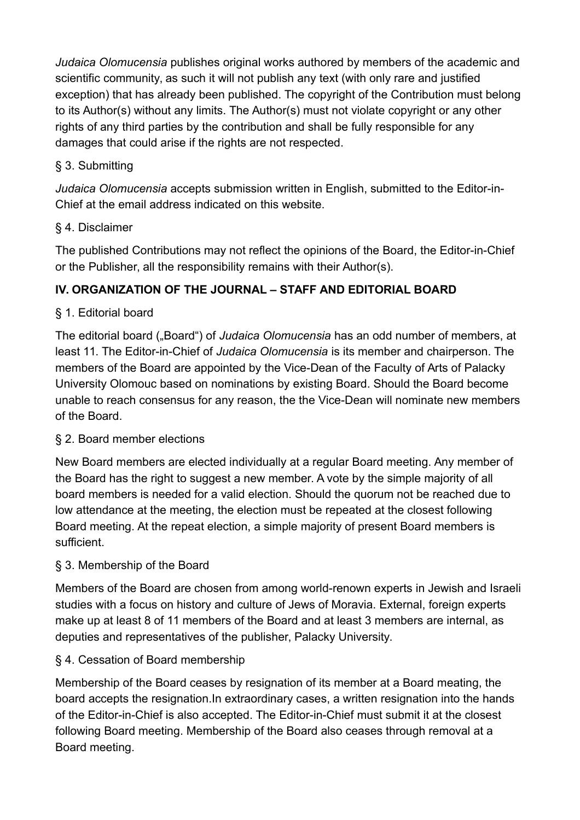*Judaica Olomucensia* publishes original works authored by members of the academic and scientific community, as such it will not publish any text (with only rare and justified exception) that has already been published. The copyright of the Contribution must belong to its Author(s) without any limits. The Author(s) must not violate copyright or any other rights of any third parties by the contribution and shall be fully responsible for any damages that could arise if the rights are not respected.

# § 3. Submitting

*Judaica Olomucensia* accepts submission written in English, submitted to the Editor-in-Chief at the email address indicated on this website.

# § 4. Disclaimer

The published Contributions may not reflect the opinions of the Board, the Editor-in-Chief or the Publisher, all the responsibility remains with their Author(s).

# **IV. ORGANIZATION OF THE JOURNAL – STAFF AND EDITORIAL BOARD**

# § 1. Editorial board

The editorial board ("Board") of *Judaica Olomucensia* has an odd number of members, at least 11. The Editor-in-Chief of *Judaica Olomucensia* is its member and chairperson. The members of the Board are appointed by the Vice-Dean of the Faculty of Arts of Palacky University Olomouc based on nominations by existing Board. Should the Board become unable to reach consensus for any reason, the the Vice-Dean will nominate new members of the Board.

# § 2. Board member elections

New Board members are elected individually at a regular Board meeting. Any member of the Board has the right to suggest a new member. A vote by the simple majority of all board members is needed for a valid election. Should the quorum not be reached due to low attendance at the meeting, the election must be repeated at the closest following Board meeting. At the repeat election, a simple majority of present Board members is sufficient.

# § 3. Membership of the Board

Members of the Board are chosen from among world-renown experts in Jewish and Israeli studies with a focus on history and culture of Jews of Moravia. External, foreign experts make up at least 8 of 11 members of the Board and at least 3 members are internal, as deputies and representatives of the publisher, Palacky University.

# § 4. Cessation of Board membership

Membership of the Board ceases by resignation of its member at a Board meating, the board accepts the resignation.In extraordinary cases, a written resignation into the hands of the Editor-in-Chief is also accepted. The Editor-in-Chief must submit it at the closest following Board meeting. Membership of the Board also ceases through removal at a Board meeting.